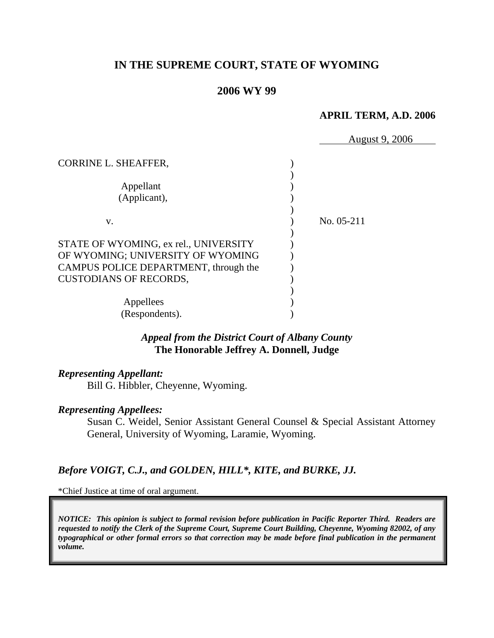# **IN THE SUPREME COURT, STATE OF WYOMING**

## **2006 WY 99**

#### **APRIL TERM, A.D. 2006**

|                                       | <b>August 9, 2006</b> |
|---------------------------------------|-----------------------|
| CORRINE L. SHEAFFER,                  |                       |
| Appellant                             |                       |
| (Applicant),                          |                       |
| V.                                    | No. 05-211            |
| STATE OF WYOMING, ex rel., UNIVERSITY |                       |
| OF WYOMING; UNIVERSITY OF WYOMING     |                       |
| CAMPUS POLICE DEPARTMENT, through the |                       |
| <b>CUSTODIANS OF RECORDS,</b>         |                       |
| Appellees                             |                       |
| (Respondents).                        |                       |

# *Appeal from the District Court of Albany County* **The Honorable Jeffrey A. Donnell, Judge**

## *Representing Appellant:*

Bill G. Hibbler, Cheyenne, Wyoming.

#### *Representing Appellees:*

Susan C. Weidel, Senior Assistant General Counsel & Special Assistant Attorney General, University of Wyoming, Laramie, Wyoming.

## *Before VOIGT, C.J., and GOLDEN, HILL\*, KITE, and BURKE, JJ.*

\*Chief Justice at time of oral argument.

*NOTICE: This opinion is subject to formal revision before publication in Pacific Reporter Third. Readers are requested to notify the Clerk of the Supreme Court, Supreme Court Building, Cheyenne, Wyoming 82002, of any typographical or other formal errors so that correction may be made before final publication in the permanent volume.*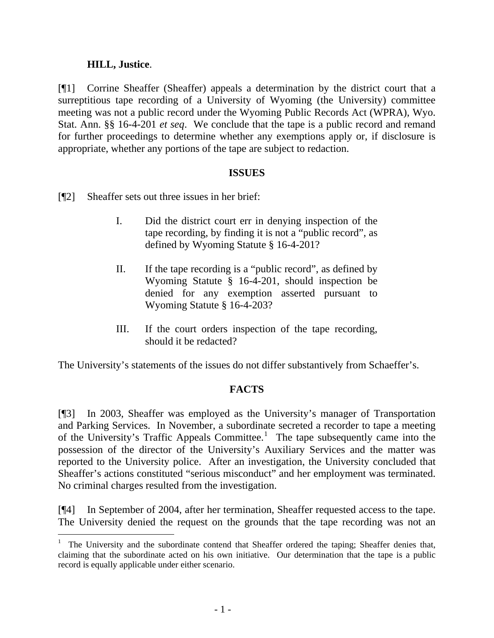## **HILL, Justice**.

l

[¶1] Corrine Sheaffer (Sheaffer) appeals a determination by the district court that a surreptitious tape recording of a University of Wyoming (the University) committee meeting was not a public record under the Wyoming Public Records Act (WPRA), Wyo. Stat. Ann. §§ 16-4-201 *et seq*. We conclude that the tape is a public record and remand for further proceedings to determine whether any exemptions apply or, if disclosure is appropriate, whether any portions of the tape are subject to redaction.

## **ISSUES**

- [¶2] Sheaffer sets out three issues in her brief:
	- I. Did the district court err in denying inspection of the tape recording, by finding it is not a "public record", as defined by Wyoming Statute § 16-4-201?
	- II. If the tape recording is a "public record", as defined by Wyoming Statute § 16-4-201, should inspection be denied for any exemption asserted pursuant to Wyoming Statute § 16-4-203?
	- III. If the court orders inspection of the tape recording, should it be redacted?

The University's statements of the issues do not differ substantively from Schaeffer's.

## **FACTS**

[¶3] In 2003, Sheaffer was employed as the University's manager of Transportation and Parking Services. In November, a subordinate secreted a recorder to tape a meeting of the University's Traffic Appeals Committee.<sup>[1](#page-2-0)</sup> The tape subsequently came into the possession of the director of the University's Auxiliary Services and the matter was reported to the University police. After an investigation, the University concluded that Sheaffer's actions constituted "serious misconduct" and her employment was terminated. No criminal charges resulted from the investigation.

[¶4] In September of 2004, after her termination, Sheaffer requested access to the tape. The University denied the request on the grounds that the tape recording was not an

<span id="page-2-0"></span><sup>&</sup>lt;sup>1</sup> The University and the subordinate contend that Sheaffer ordered the taping; Sheaffer denies that, claiming that the subordinate acted on his own initiative. Our determination that the tape is a public record is equally applicable under either scenario.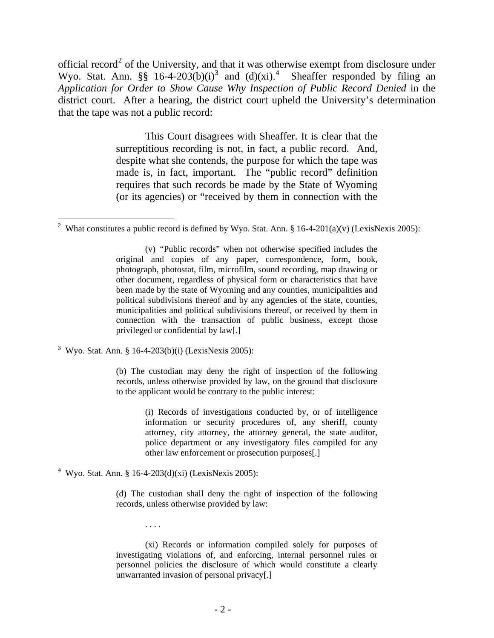official record<sup>[2](#page-3-0)</sup> of the University, and that it was otherwise exempt from disclosure under Wyo. Stat. Ann. §§ 16-4-20[3](#page-3-1)(b)(i)<sup>3</sup> and (d)(xi).<sup>[4](#page-3-2)</sup> Sheaffer responded by filing an *Application for Order to Show Cause Why Inspection of Public Record Denied* in the district court. After a hearing, the district court upheld the University's determination that the tape was not a public record:

> This Court disagrees with Sheaffer. It is clear that the surreptitious recording is not, in fact, a public record. And, despite what she contends, the purpose for which the tape was made is, in fact, important. The "public record" definition requires that such records be made by the State of Wyoming (or its agencies) or "received by them in connection with the

<span id="page-3-1"></span><sup>3</sup> Wyo. Stat. Ann. § 16-4-203(b)(i) (LexisNexis 2005):

(b) The custodian may deny the right of inspection of the following records, unless otherwise provided by law, on the ground that disclosure to the applicant would be contrary to the public interest:

> (i) Records of investigations conducted by, or of intelligence information or security procedures of, any sheriff, county attorney, city attorney, the attorney general, the state auditor, police department or any investigatory files compiled for any other law enforcement or prosecution purposes[.]

<span id="page-3-2"></span><sup>4</sup> Wyo. Stat. Ann. § 16-4-203(d)(xi) (LexisNexis 2005):

. . . .

(d) The custodian shall deny the right of inspection of the following records, unless otherwise provided by law:

(xi) Records or information compiled solely for purposes of investigating violations of, and enforcing, internal personnel rules or personnel policies the disclosure of which would constitute a clearly unwarranted invasion of personal privacy[.]

<span id="page-3-0"></span><sup>&</sup>lt;sup>2</sup> What constitutes a public record is defined by Wyo. Stat. Ann. § 16-4-201(a)(v) (LexisNexis 2005):

<sup>(</sup>v) "Public records" when not otherwise specified includes the original and copies of any paper, correspondence, form, book, photograph, photostat, film, microfilm, sound recording, map drawing or other document, regardless of physical form or characteristics that have been made by the state of Wyoming and any counties, municipalities and political subdivisions thereof and by any agencies of the state, counties, municipalities and political subdivisions thereof, or received by them in connection with the transaction of public business, except those privileged or confidential by law[.]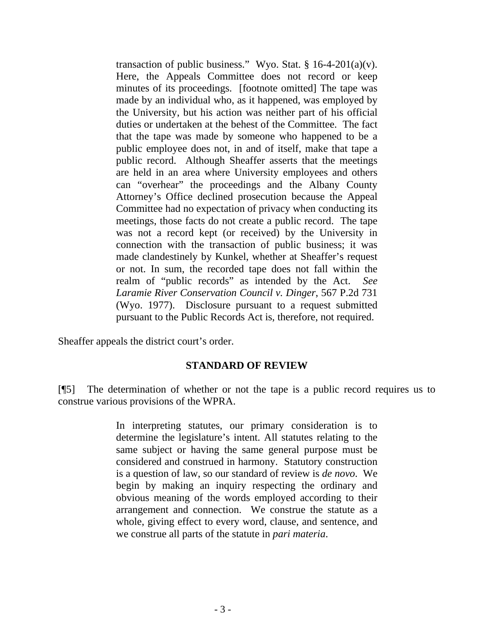transaction of public business." Wyo. Stat.  $\S$  16-4-201(a)(v). Here, the Appeals Committee does not record or keep minutes of its proceedings. [footnote omitted] The tape was made by an individual who, as it happened, was employed by the University, but his action was neither part of his official duties or undertaken at the behest of the Committee. The fact that the tape was made by someone who happened to be a public employee does not, in and of itself, make that tape a public record. Although Sheaffer asserts that the meetings are held in an area where University employees and others can "overhear" the proceedings and the Albany County Attorney's Office declined prosecution because the Appeal Committee had no expectation of privacy when conducting its meetings, those facts do not create a public record. The tape was not a record kept (or received) by the University in connection with the transaction of public business; it was made clandestinely by Kunkel, whether at Sheaffer's request or not. In sum, the recorded tape does not fall within the realm of "public records" as intended by the Act. *See Laramie River Conservation Council v. Dinger*, 567 P.2d 731 (Wyo. 1977). Disclosure pursuant to a request submitted pursuant to the Public Records Act is, therefore, not required.

Sheaffer appeals the district court's order.

## **STANDARD OF REVIEW**

[¶5] The determination of whether or not the tape is a public record requires us to construe various provisions of the WPRA.

> In interpreting statutes, our primary consideration is to determine the legislature's intent. All statutes relating to the same subject or having the same general purpose must be considered and construed in harmony. Statutory construction is a question of law, so our standard of review is *de novo*. We begin by making an inquiry respecting the ordinary and obvious meaning of the words employed according to their arrangement and connection. We construe the statute as a whole, giving effect to every word, clause, and sentence, and we construe all parts of the statute in *pari materia*.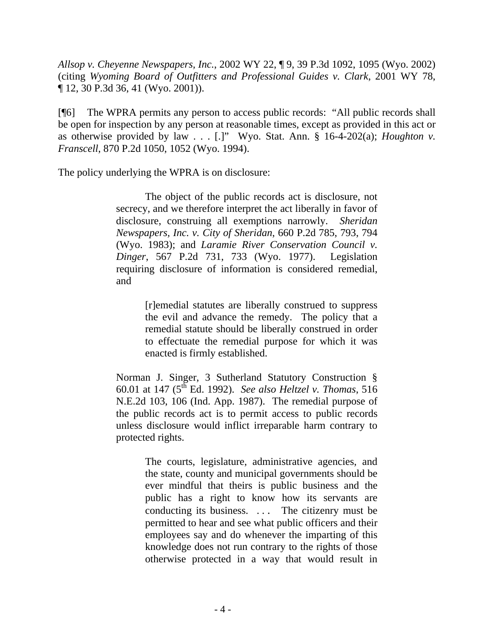*Allsop v. Cheyenne Newspapers, Inc.*, 2002 WY 22, ¶ 9, 39 P.3d 1092, 1095 (Wyo. 2002) (citing *Wyoming Board of Outfitters and Professional Guides v. Clark*, 2001 WY 78, ¶ 12, 30 P.3d 36, 41 (Wyo. 2001)).

[¶6] The WPRA permits any person to access public records: "All public records shall be open for inspection by any person at reasonable times, except as provided in this act or as otherwise provided by law . . . [.]" Wyo. Stat. Ann. § 16-4-202(a); *Houghton v. Franscell*, 870 P.2d 1050, 1052 (Wyo. 1994).

The policy underlying the WPRA is on disclosure:

The object of the public records act is disclosure, not secrecy, and we therefore interpret the act liberally in favor of disclosure, construing all exemptions narrowly. *Sheridan Newspapers, Inc. v. City of Sheridan*, 660 P.2d 785, 793, 794 (Wyo. 1983); and *Laramie River Conservation Council v. Dinger*, 567 P.2d 731, 733 (Wyo. 1977). Legislation requiring disclosure of information is considered remedial, and

> [r]emedial statutes are liberally construed to suppress the evil and advance the remedy. The policy that a remedial statute should be liberally construed in order to effectuate the remedial purpose for which it was enacted is firmly established.

Norman J. Singer, 3 Sutherland Statutory Construction § 60.01 at 147 (5th Ed. 1992). *See also Heltzel v. Thomas*, 516 N.E.2d 103, 106 (Ind. App. 1987). The remedial purpose of the public records act is to permit access to public records unless disclosure would inflict irreparable harm contrary to protected rights.

> The courts, legislature, administrative agencies, and the state, county and municipal governments should be ever mindful that theirs is public business and the public has a right to know how its servants are conducting its business. . . . The citizenry must be permitted to hear and see what public officers and their employees say and do whenever the imparting of this knowledge does not run contrary to the rights of those otherwise protected in a way that would result in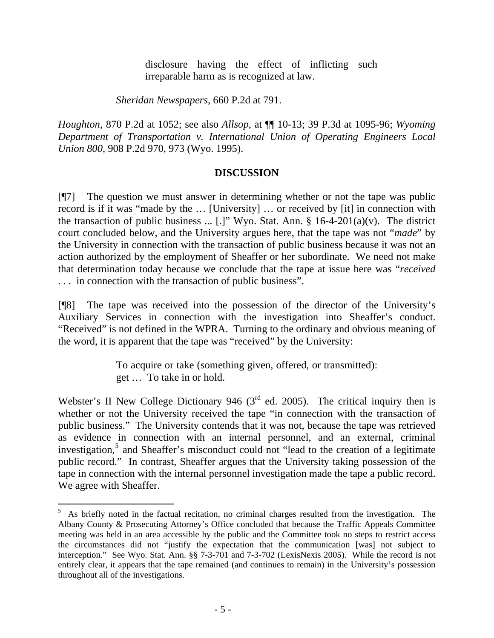disclosure having the effect of inflicting such irreparable harm as is recognized at law.

*Sheridan Newspapers*, 660 P.2d at 791.

*Houghton*, 870 P.2d at 1052; see also *Allsop*, at ¶¶ 10-13; 39 P.3d at 1095-96; *Wyoming Department of Transportation v. International Union of Operating Engineers Local Union 800*, 908 P.2d 970, 973 (Wyo. 1995).

## **DISCUSSION**

[¶7] The question we must answer in determining whether or not the tape was public record is if it was "made by the … [University] … or received by [it] in connection with the transaction of public business ... [.]" Wyo. Stat. Ann.  $\S$  16-4-201(a)(v). The district court concluded below, and the University argues here, that the tape was not "*made*" by the University in connection with the transaction of public business because it was not an action authorized by the employment of Sheaffer or her subordinate. We need not make that determination today because we conclude that the tape at issue here was "*received* . . . in connection with the transaction of public business".

[¶8] The tape was received into the possession of the director of the University's Auxiliary Services in connection with the investigation into Sheaffer's conduct. "Received" is not defined in the WPRA. Turning to the ordinary and obvious meaning of the word, it is apparent that the tape was "received" by the University:

> To acquire or take (something given, offered, or transmitted): get … To take in or hold.

Webster's II New College Dictionary 946 ( $3<sup>rd</sup>$  ed. 2005). The critical inquiry then is whether or not the University received the tape "in connection with the transaction of public business." The University contends that it was not, because the tape was retrieved as evidence in connection with an internal personnel, and an external, criminal investigation,<sup>[5](#page-6-0)</sup> and Sheaffer's misconduct could not "lead to the creation of a legitimate public record." In contrast, Sheaffer argues that the University taking possession of the tape in connection with the internal personnel investigation made the tape a public record. We agree with Sheaffer.

<span id="page-6-0"></span><sup>&</sup>lt;sup>5</sup> As briefly noted in the factual recitation, no criminal charges resulted from the investigation. The Albany County & Prosecuting Attorney's Office concluded that because the Traffic Appeals Committee meeting was held in an area accessible by the public and the Committee took no steps to restrict access the circumstances did not "justify the expectation that the communication [was] not subject to interception." See Wyo. Stat. Ann. §§ 7-3-701 and 7-3-702 (LexisNexis 2005). While the record is not entirely clear, it appears that the tape remained (and continues to remain) in the University's possession throughout all of the investigations.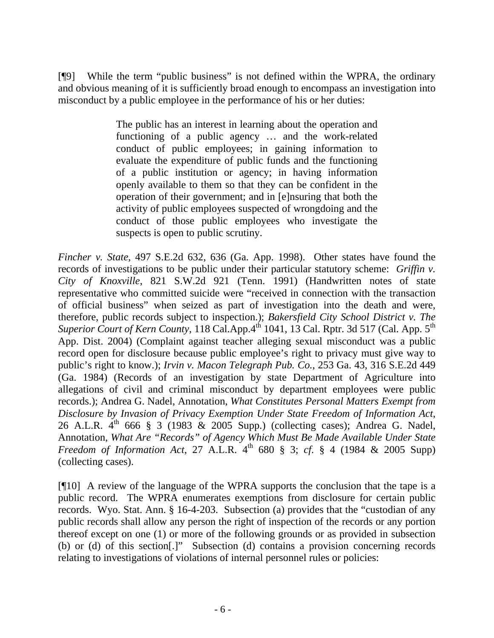[¶9] While the term "public business" is not defined within the WPRA, the ordinary and obvious meaning of it is sufficiently broad enough to encompass an investigation into misconduct by a public employee in the performance of his or her duties:

> The public has an interest in learning about the operation and functioning of a public agency … and the work-related conduct of public employees; in gaining information to evaluate the expenditure of public funds and the functioning of a public institution or agency; in having information openly available to them so that they can be confident in the operation of their government; and in [e]nsuring that both the activity of public employees suspected of wrongdoing and the conduct of those public employees who investigate the suspects is open to public scrutiny.

*Fincher v. State*, 497 S.E.2d 632, 636 (Ga. App. 1998). Other states have found the records of investigations to be public under their particular statutory scheme: *Griffin v. City of Knoxville*, 821 S.W.2d 921 (Tenn. 1991) (Handwritten notes of state representative who committed suicide were "received in connection with the transaction of official business" when seized as part of investigation into the death and were, therefore, public records subject to inspection.); *Bakersfield City School District v. The Superior Court of Kern County*, 118 Cal.App.4<sup>th 1041, 13 Cal. Rptr. 3d 517 (Cal. App. 5<sup>th</sup>)</sup> App. Dist. 2004) (Complaint against teacher alleging sexual misconduct was a public record open for disclosure because public employee's right to privacy must give way to public's right to know.); *Irvin v. Macon Telegraph Pub. Co.*, 253 Ga. 43, 316 S.E.2d 449 (Ga. 1984) (Records of an investigation by state Department of Agriculture into allegations of civil and criminal misconduct by department employees were public records.); Andrea G. Nadel, Annotation, *What Constitutes Personal Matters Exempt from Disclosure by Invasion of Privacy Exemption Under State Freedom of Information Act*, 26 A.L.R. 4<sup>th</sup> 666 § 3 (1983 & 2005 Supp.) (collecting cases); Andrea G. Nadel, Annotation, *What Are "Records" of Agency Which Must Be Made Available Under State Freedom of Information Act*, 27 A.L.R.  $4^{th}$  680 § 3; *cf.* § 4 (1984 & 2005 Supp) (collecting cases).

[¶10] A review of the language of the WPRA supports the conclusion that the tape is a public record. The WPRA enumerates exemptions from disclosure for certain public records. Wyo. Stat. Ann. § 16-4-203. Subsection (a) provides that the "custodian of any public records shall allow any person the right of inspection of the records or any portion thereof except on one (1) or more of the following grounds or as provided in subsection (b) or (d) of this section[.]" Subsection (d) contains a provision concerning records relating to investigations of violations of internal personnel rules or policies: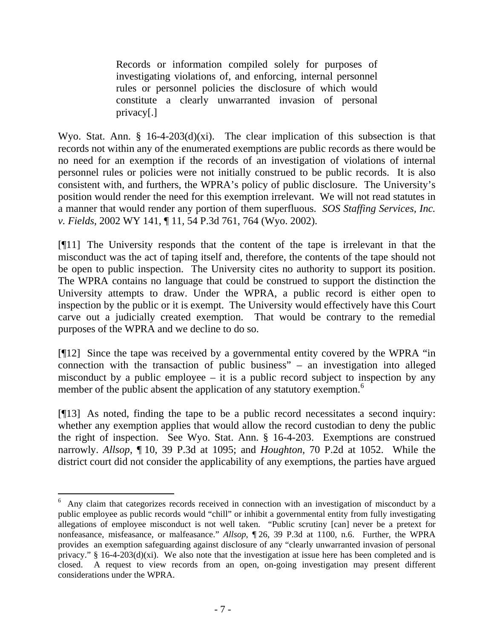Records or information compiled solely for purposes of investigating violations of, and enforcing, internal personnel rules or personnel policies the disclosure of which would constitute a clearly unwarranted invasion of personal privacy[.]

Wyo. Stat. Ann. § 16-4-203(d)(xi). The clear implication of this subsection is that records not within any of the enumerated exemptions are public records as there would be no need for an exemption if the records of an investigation of violations of internal personnel rules or policies were not initially construed to be public records. It is also consistent with, and furthers, the WPRA's policy of public disclosure. The University's position would render the need for this exemption irrelevant. We will not read statutes in a manner that would render any portion of them superfluous. *SOS Staffing Services, Inc. v. Fields*, 2002 WY 141, ¶ 11, 54 P.3d 761, 764 (Wyo. 2002).

[¶11] The University responds that the content of the tape is irrelevant in that the misconduct was the act of taping itself and, therefore, the contents of the tape should not be open to public inspection. The University cites no authority to support its position. The WPRA contains no language that could be construed to support the distinction the University attempts to draw. Under the WPRA, a public record is either open to inspection by the public or it is exempt. The University would effectively have this Court carve out a judicially created exemption. That would be contrary to the remedial purposes of the WPRA and we decline to do so.

[¶12] Since the tape was received by a governmental entity covered by the WPRA "in connection with the transaction of public business" – an investigation into alleged misconduct by a public employee – it is a public record subject to inspection by any member of the public absent the application of any statutory exemption.<sup>[6](#page-8-0)</sup>

[¶13] As noted, finding the tape to be a public record necessitates a second inquiry: whether any exemption applies that would allow the record custodian to deny the public the right of inspection. See Wyo. Stat. Ann. § 16-4-203. Exemptions are construed narrowly. *Allsop*, ¶ 10, 39 P.3d at 1095; and *Houghton*, 70 P.2d at 1052. While the district court did not consider the applicability of any exemptions, the parties have argued

 $\overline{a}$ 

<span id="page-8-0"></span><sup>&</sup>lt;sup>6</sup> Any claim that categorizes records received in connection with an investigation of misconduct by a public employee as public records would "chill" or inhibit a governmental entity from fully investigating allegations of employee misconduct is not well taken. "Public scrutiny [can] never be a pretext for nonfeasance, misfeasance, or malfeasance." *Allsop*, ¶ 26, 39 P.3d at 1100, n.6. Further, the WPRA provides an exemption safeguarding against disclosure of any "clearly unwarranted invasion of personal privacy." § 16-4-203(d)(xi). We also note that the investigation at issue here has been completed and is closed. A request to view records from an open, on-going investigation may present different considerations under the WPRA.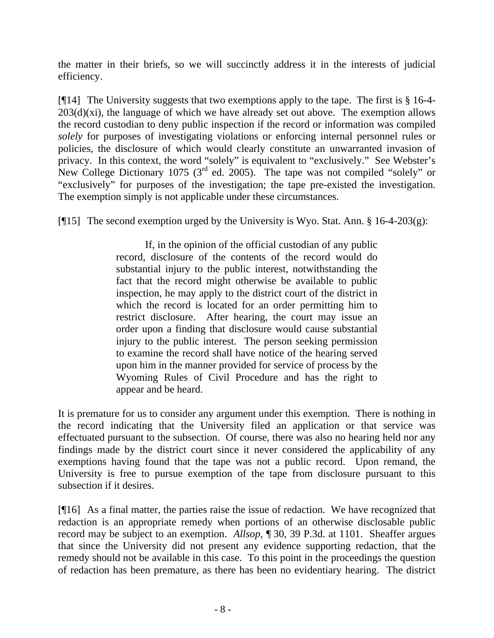the matter in their briefs, so we will succinctly address it in the interests of judicial efficiency.

[¶14] The University suggests that two exemptions apply to the tape. The first is § 16-4-  $203(d)(xi)$ , the language of which we have already set out above. The exemption allows the record custodian to deny public inspection if the record or information was compiled *solely* for purposes of investigating violations or enforcing internal personnel rules or policies, the disclosure of which would clearly constitute an unwarranted invasion of privacy. In this context, the word "solely" is equivalent to "exclusively." See Webster's New College Dictionary 1075 ( $3<sup>rd</sup>$  ed. 2005). The tape was not compiled "solely" or "exclusively" for purposes of the investigation; the tape pre-existed the investigation. The exemption simply is not applicable under these circumstances.

[ $\llbracket$ 15] The second exemption urged by the University is Wyo. Stat. Ann. § 16-4-203(g):

If, in the opinion of the official custodian of any public record, disclosure of the contents of the record would do substantial injury to the public interest, notwithstanding the fact that the record might otherwise be available to public inspection, he may apply to the district court of the district in which the record is located for an order permitting him to restrict disclosure. After hearing, the court may issue an order upon a finding that disclosure would cause substantial injury to the public interest. The person seeking permission to examine the record shall have notice of the hearing served upon him in the manner provided for service of process by the Wyoming Rules of Civil Procedure and has the right to appear and be heard.

It is premature for us to consider any argument under this exemption. There is nothing in the record indicating that the University filed an application or that service was effectuated pursuant to the subsection. Of course, there was also no hearing held nor any findings made by the district court since it never considered the applicability of any exemptions having found that the tape was not a public record. Upon remand, the University is free to pursue exemption of the tape from disclosure pursuant to this subsection if it desires.

[¶16] As a final matter, the parties raise the issue of redaction. We have recognized that redaction is an appropriate remedy when portions of an otherwise disclosable public record may be subject to an exemption. *Allsop*, ¶ 30, 39 P.3d. at 1101. Sheaffer argues that since the University did not present any evidence supporting redaction, that the remedy should not be available in this case. To this point in the proceedings the question of redaction has been premature, as there has been no evidentiary hearing. The district